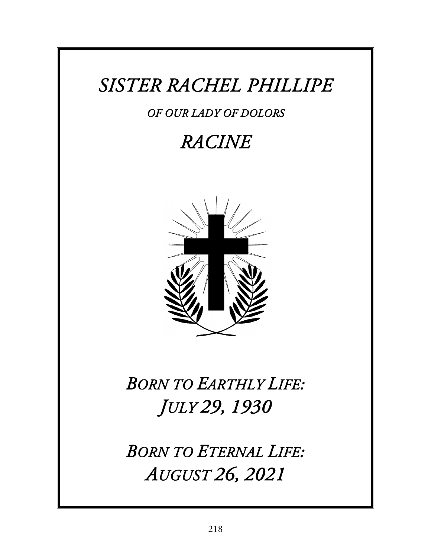## *SISTER RACHEL PHILLIPE*

#### *OF OUR LADY OF DOLORS*

### *RACINE*



# *BORN TO EARTHLY LIFE: JULY 29, 1930*

*BORN TO ETERNAL LIFE: AUGUST 26, 2021*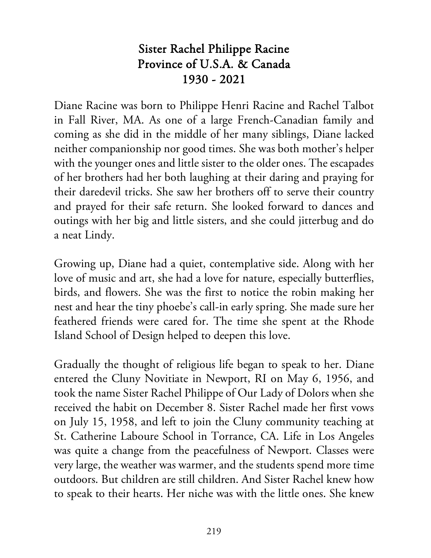#### Sister Rachel Philippe Racine Province of U.S.A. & Canada 1930 - 2021

Diane Racine was born to Philippe Henri Racine and Rachel Talbot in Fall River, MA. As one of a large French-Canadian family and coming as she did in the middle of her many siblings, Diane lacked neither companionship nor good times. She was both mother's helper with the younger ones and little sister to the older ones. The escapades of her brothers had her both laughing at their daring and praying for their daredevil tricks. She saw her brothers off to serve their country and prayed for their safe return. She looked forward to dances and outings with her big and little sisters, and she could jitterbug and do a neat Lindy.

Growing up, Diane had a quiet, contemplative side. Along with her love of music and art, she had a love for nature, especially butterflies, birds, and flowers. She was the first to notice the robin making her nest and hear the tiny phoebe's call-in early spring. She made sure her feathered friends were cared for. The time she spent at the Rhode Island School of Design helped to deepen this love.

Gradually the thought of religious life began to speak to her. Diane entered the Cluny Novitiate in Newport, RI on May 6, 1956, and took the name Sister Rachel Philippe of Our Lady of Dolors when she received the habit on December 8. Sister Rachel made her first vows on July 15, 1958, and left to join the Cluny community teaching at St. Catherine Laboure School in Torrance, CA. Life in Los Angeles was quite a change from the peacefulness of Newport. Classes were very large, the weather was warmer, and the students spend more time outdoors. But children are still children. And Sister Rachel knew how to speak to their hearts. Her niche was with the little ones. She knew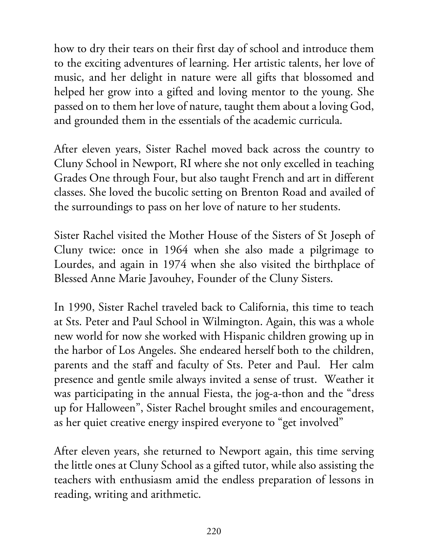how to dry their tears on their first day of school and introduce them to the exciting adventures of learning. Her artistic talents, her love of music, and her delight in nature were all gifts that blossomed and helped her grow into a gifted and loving mentor to the young. She passed on to them her love of nature, taught them about a loving God, and grounded them in the essentials of the academic curricula.

After eleven years, Sister Rachel moved back across the country to Cluny School in Newport, RI where she not only excelled in teaching Grades One through Four, but also taught French and art in different classes. She loved the bucolic setting on Brenton Road and availed of the surroundings to pass on her love of nature to her students.

Sister Rachel visited the Mother House of the Sisters of St Joseph of Cluny twice: once in 1964 when she also made a pilgrimage to Lourdes, and again in 1974 when she also visited the birthplace of Blessed Anne Marie Javouhey, Founder of the Cluny Sisters.

In 1990, Sister Rachel traveled back to California, this time to teach at Sts. Peter and Paul School in Wilmington. Again, this was a whole new world for now she worked with Hispanic children growing up in the harbor of Los Angeles. She endeared herself both to the children, parents and the staff and faculty of Sts. Peter and Paul. Her calm presence and gentle smile always invited a sense of trust. Weather it was participating in the annual Fiesta, the jog-a-thon and the "dress up for Halloween", Sister Rachel brought smiles and encouragement, as her quiet creative energy inspired everyone to "get involved"

After eleven years, she returned to Newport again, this time serving the little ones at Cluny School as a gifted tutor, while also assisting the teachers with enthusiasm amid the endless preparation of lessons in reading, writing and arithmetic.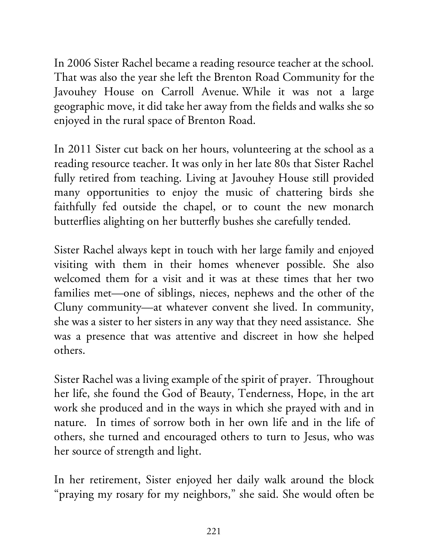In 2006 Sister Rachel became a reading resource teacher at the school. That was also the year she left the Brenton Road Community for the Javouhey House on Carroll Avenue. While it was not a large geographic move, it did take her away from the fields and walks she so enjoyed in the rural space of Brenton Road.

In 2011 Sister cut back on her hours, volunteering at the school as a reading resource teacher. It was only in her late 80s that Sister Rachel fully retired from teaching. Living at Javouhey House still provided many opportunities to enjoy the music of chattering birds she faithfully fed outside the chapel, or to count the new monarch butterflies alighting on her butterfly bushes she carefully tended.

Sister Rachel always kept in touch with her large family and enjoyed visiting with them in their homes whenever possible. She also welcomed them for a visit and it was at these times that her two families met—one of siblings, nieces, nephews and the other of the Cluny community—at whatever convent she lived. In community, she was a sister to her sisters in any way that they need assistance. She was a presence that was attentive and discreet in how she helped others.

Sister Rachel was a living example of the spirit of prayer. Throughout her life, she found the God of Beauty, Tenderness, Hope, in the art work she produced and in the ways in which she prayed with and in nature. In times of sorrow both in her own life and in the life of others, she turned and encouraged others to turn to Jesus, who was her source of strength and light.

In her retirement, Sister enjoyed her daily walk around the block "praying my rosary for my neighbors," she said. She would often be